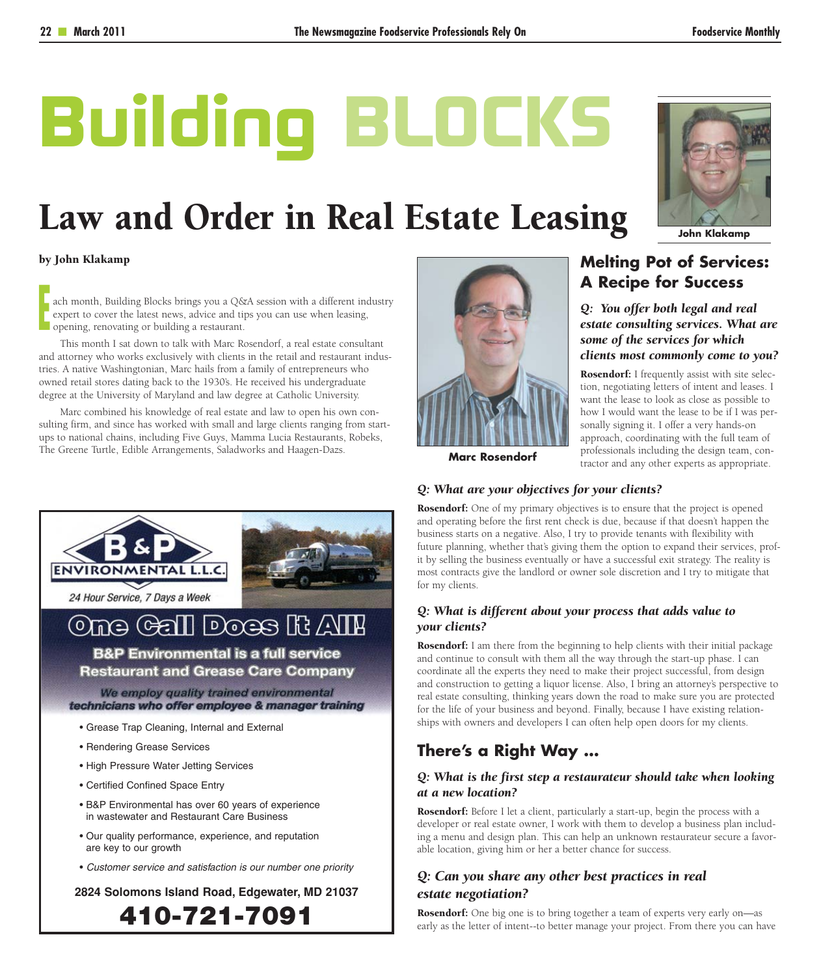# **Building BLOCKS**

# Law and Order in Real Estate Leasing

#### by John Klakamp

ach month, Building Blocks brings you a Q&A session with a different industry expert to cover the latest news, advice and tips you can use when leasing, opening, renovating or building a restaurant. expert to cover the latest news, advice and tips you can use when leasing, opening, renovating or building a restaurant.

This month I sat down to talk with Marc Rosendorf, a real estate consultant and attorney who works exclusively with clients in the retail and restaurant industries. A native Washingtonian, Marc hails from a family of entrepreneurs who owned retail stores dating back to the 1930's. He received his undergraduate degree at the University of Maryland and law degree at Catholic University.

Marc combined his knowledge of real estate and law to open his own consulting firm, and since has worked with small and large clients ranging from startups to national chains, including Five Guys, Mamma Lucia Restaurants, Robeks, The Greene Turtle, Edible Arrangements, Saladworks and Haagen-Dazs.



# **Melting Pot of Services: A Recipe for Success**

*Q: You offer both legal and real estate consulting services. What are some of the services for which clients most commonly come to you?*

Rosendorf: I frequently assist with site selection, negotiating letters of intent and leases. I want the lease to look as close as possible to how I would want the lease to be if I was personally signing it. I offer a very hands-on approach, coordinating with the full team of professionals including the design team, contractor and any other experts as appropriate.

**Marc Rosendorf**

# *Q: What are your objectives for your clients?*

Rosendorf: One of my primary objectives is to ensure that the project is opened and operating before the first rent check is due, because if that doesn't happen the business starts on a negative. Also, I try to provide tenants with flexibility with future planning, whether that's giving them the option to expand their services, profit by selling the business eventually or have a successful exit strategy. The reality is most contracts give the landlord or owner sole discretion and I try to mitigate that for my clients.

### *Q: What is different about your process that adds value to your clients?*

Rosendorf: I am there from the beginning to help clients with their initial package and continue to consult with them all the way through the start-up phase. I can coordinate all the experts they need to make their project successful, from design and construction to getting a liquor license. Also, I bring an attorney's perspective to real estate consulting, thinking years down the road to make sure you are protected for the life of your business and beyond. Finally, because I have existing relationships with owners and developers I can often help open doors for my clients.

# **There's a Right Way …**

#### *Q: What is the first step a restaurateur should take when looking at a new location?*

Rosendorf: Before I let a client, particularly a start-up, begin the process with a developer or real estate owner, I work with them to develop a business plan including a menu and design plan. This can help an unknown restaurateur secure a favorable location, giving him or her a better chance for success.

# *Q: Can you share any other best practices in real estate negotiation?*

Rosendorf: One big one is to bring together a team of experts very early on-as early as the letter of intent--to better manage your project. From there you can have



**Restaurant and Grease Care Company** 

We employ quality trained environmental technicians who offer employee & manager training

- Grease Trap Cleaning, Internal and External
- Rendering Grease Services
- High Pressure Water Jetting Services
- Certified Confined Space Entry
- B&P Environmental has over 60 years of experience in wastewater and Restaurant Care Business
- Our quality performance, experience, and reputation are key to our growth
- Customer service and satisfaction is our number one priority

**2824 Solomons Island Road, Edgewater, MD 21037**

**410-721-7091**